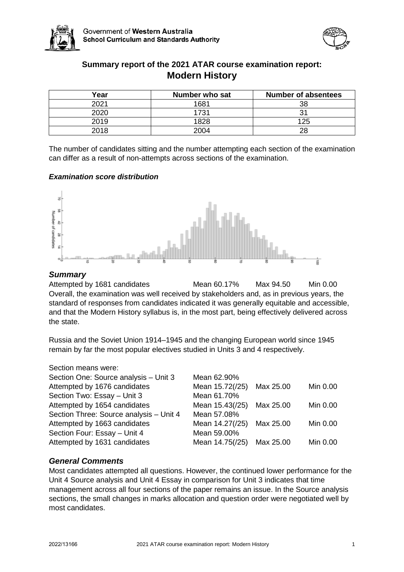



# **Summary report of the 2021 ATAR course examination report: Modern History**

| Year | Number who sat | <b>Number of absentees</b> |
|------|----------------|----------------------------|
| 2021 | 1681           | 38                         |
| 2020 | 1731           |                            |
| 2019 | 1828           | 125                        |
| 2018 | 2004           | 28                         |

The number of candidates sitting and the number attempting each section of the examination can differ as a result of non-attempts across sections of the examination.

## *Examination score distribution*



## *Summary*

Attempted by 1681 candidates Mean 60.17% Max 94.50 Min 0.00 Overall, the examination was well received by stakeholders and, as in previous years, the standard of responses from candidates indicated it was generally equitable and accessible, and that the Modern History syllabus is, in the most part, being effectively delivered across the state.

Russia and the Soviet Union 1914–1945 and the changing European world since 1945 remain by far the most popular electives studied in Units 3 and 4 respectively.

#### Section means were:

| Section One: Source analysis - Unit 3   | Mean 62.90%     |           |          |
|-----------------------------------------|-----------------|-----------|----------|
| Attempted by 1676 candidates            | Mean 15.72(/25) | Max 25.00 | Min 0.00 |
| Section Two: Essay - Unit 3             | Mean 61.70%     |           |          |
| Attempted by 1654 candidates            | Mean 15.43(/25) | Max 25.00 | Min 0.00 |
| Section Three: Source analysis - Unit 4 | Mean 57.08%     |           |          |
| Attempted by 1663 candidates            | Mean 14.27(/25) | Max 25.00 | Min 0.00 |
| Section Four: Essay - Unit 4            | Mean 59.00%     |           |          |
| Attempted by 1631 candidates            | Mean 14.75(/25) | Max 25.00 | Min 0.00 |
|                                         |                 |           |          |

## *General Comments*

Most candidates attempted all questions. However, the continued lower performance for the Unit 4 Source analysis and Unit 4 Essay in comparison for Unit 3 indicates that time management across all four sections of the paper remains an issue. In the Source analysis sections, the small changes in marks allocation and question order were negotiated well by most candidates.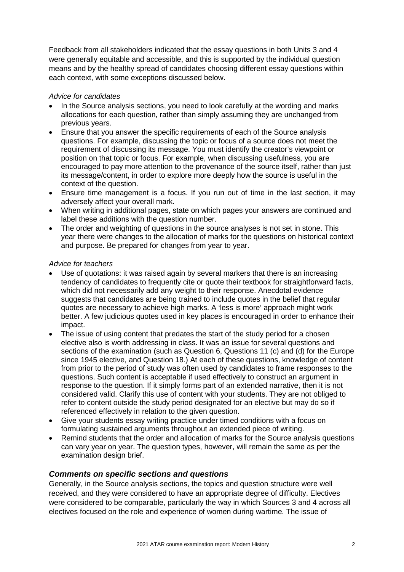Feedback from all stakeholders indicated that the essay questions in both Units 3 and 4 were generally equitable and accessible, and this is supported by the individual question means and by the healthy spread of candidates choosing different essay questions within each context, with some exceptions discussed below.

## *Advice for candidates*

- In the Source analysis sections, you need to look carefully at the wording and marks allocations for each question, rather than simply assuming they are unchanged from previous years.
- Ensure that you answer the specific requirements of each of the Source analysis questions. For example, discussing the topic or focus of a source does not meet the requirement of discussing its message. You must identify the creator's viewpoint or position on that topic or focus. For example, when discussing usefulness*,* you are encouraged to pay more attention to the provenance of the source itself, rather than just its message/content, in order to explore more deeply how the source is useful in the context of the question.
- Ensure time management is a focus. If you run out of time in the last section, it may adversely affect your overall mark.
- When writing in additional pages, state on which pages your answers are continued and label these additions with the question number.
- The order and weighting of questions in the source analyses is not set in stone. This year there were changes to the allocation of marks for the questions on historical context and purpose. Be prepared for changes from year to year.

## *Advice for teachers*

- Use of quotations: it was raised again by several markers that there is an increasing tendency of candidates to frequently cite or quote their textbook for straightforward facts, which did not necessarily add any weight to their response. Anecdotal evidence suggests that candidates are being trained to include quotes in the belief that regular quotes are necessary to achieve high marks. A 'less is more' approach might work better. A few judicious quotes used in key places is encouraged in order to enhance their impact.
- The issue of using content that predates the start of the study period for a chosen elective also is worth addressing in class. It was an issue for several questions and sections of the examination (such as Question 6, Questions 11 (c) and (d) for the Europe since 1945 elective, and Question 18.) At each of these questions, knowledge of content from prior to the period of study was often used by candidates to frame responses to the questions. Such content is acceptable if used effectively to construct an argument in response to the question. If it simply forms part of an extended narrative, then it is not considered valid. Clarify this use of content with your students. They are not obliged to refer to content outside the study period designated for an elective but may do so if referenced effectively in relation to the given question.
- Give your students essay writing practice under timed conditions with a focus on formulating sustained arguments throughout an extended piece of writing.
- Remind students that the order and allocation of marks for the Source analysis questions can vary year on year. The question types, however, will remain the same as per the examination design brief.

## *Comments on specific sections and questions*

Generally, in the Source analysis sections, the topics and question structure were well received, and they were considered to have an appropriate degree of difficulty. Electives were considered to be comparable, particularly the way in which Sources 3 and 4 across all electives focused on the role and experience of women during wartime. The issue of